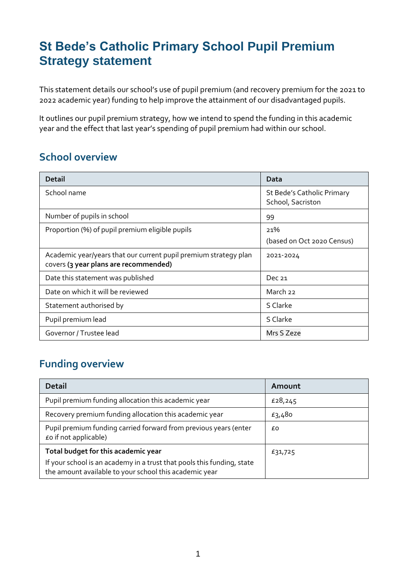# **St Bede's Catholic Primary School Pupil Premium Strategy statement**

This statement details our school's use of pupil premium (and recovery premium for the 2021 to 2022 academic year) funding to help improve the attainment of our disadvantaged pupils.

It outlines our pupil premium strategy, how we intend to spend the funding in this academic year and the effect that last year's spending of pupil premium had within our school.

### **School overview**

| <b>Detail</b>                                                                                             | Data                                            |
|-----------------------------------------------------------------------------------------------------------|-------------------------------------------------|
| School name                                                                                               | St Bede's Catholic Primary<br>School, Sacriston |
| Number of pupils in school                                                                                | 99                                              |
| Proportion (%) of pupil premium eligible pupils                                                           | 21%                                             |
|                                                                                                           | (based on Oct 2020 Census)                      |
| Academic year/years that our current pupil premium strategy plan<br>covers (3 year plans are recommended) | 2021-2024                                       |
| Date this statement was published                                                                         | Dec $21$                                        |
| Date on which it will be reviewed                                                                         | March 22                                        |
| Statement authorised by                                                                                   | S Clarke                                        |
| Pupil premium lead                                                                                        | S Clarke                                        |
| Governor / Trustee lead                                                                                   | Mrs S Zeze                                      |

#### **Funding overview**

| <b>Detail</b>                                                                                                                    | Amount  |
|----------------------------------------------------------------------------------------------------------------------------------|---------|
| Pupil premium funding allocation this academic year                                                                              | £28,245 |
| Recovery premium funding allocation this academic year                                                                           | £3,480  |
| Pupil premium funding carried forward from previous years (enter<br>£o if not applicable)                                        | £0      |
| Total budget for this academic year                                                                                              | £31,725 |
| If your school is an academy in a trust that pools this funding, state<br>the amount available to your school this academic year |         |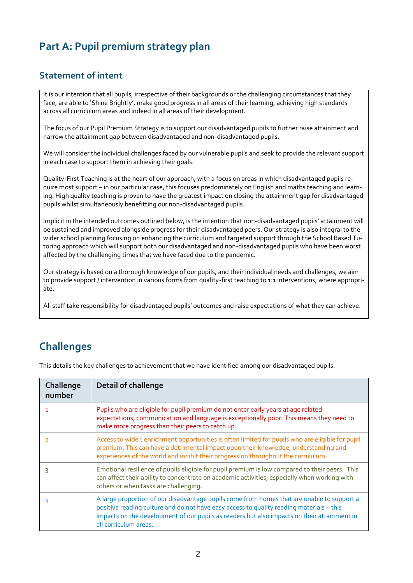### **Part A: Pupil premium strategy plan**

#### **Statement of intent**

It is our intention that all pupils, irrespective of their backgrounds or the challenging circumstances that they face, are able to 'Shine Brightly', make good progress in all areas of their learning, achieving high standards across all curriculum areas and indeed in all areas of their development.

The focus of our Pupil Premium Strategy is to support our disadvantaged pupils to further raise attainment and narrow the attainment gap between disadvantaged and non-disadvantaged pupils.

We will consider the individual challenges faced by our vulnerable pupils and seek to provide the relevant support in each case to support them in achieving their goals.

Quality-First Teaching is at the heart of our approach, with a focus on areas in which disadvantaged pupils require most support – in our particular case, this focuses predominately on English and maths teaching and learning. High quality teaching is proven to have the greatest impact on closing the attainment gap for disadvantaged pupils whilst simultaneously benefitting our non-disadvantaged pupils.

Implicit in the intended outcomes outlined below, is the intention that non-disadvantaged pupils' attainment will be sustained and improved alongside progress for their disadvantaged peers. Our strategy is also integral to the wider school planning focusing on enhancing the curriculum and targeted support through the School Based Tutoring approach which will support both our disadvantaged and non-disadvantaged pupils who have been worst affected by the challenging times that we have faced due to the pandemic.

Our strategy is based on a thorough knowledge of our pupils, and their individual needs and challenges, we aim to provide support / intervention in various forms from quality-first teaching to 1:1 interventions, where appropriate.

All staff take responsibility for disadvantaged pupils' outcomes and raise expectations of what they can achieve.

#### **Challenges**

This details the key challenges to achievement that we have identified among our disadvantaged pupils.

| Challenge<br>number | <b>Detail of challenge</b>                                                                                                                                                                                                                                                                                     |
|---------------------|----------------------------------------------------------------------------------------------------------------------------------------------------------------------------------------------------------------------------------------------------------------------------------------------------------------|
|                     | Pupils who are eligible for pupil premium do not enter early years at age related-<br>expectations; communication and language is exceptionally poor. This means they need to<br>make more progress than their peers to catch up.                                                                              |
|                     | Access to wider, enrichment opportunities is often limited for pupils who are eligible for pupil<br>premium. This can have a detrimental impact upon their knowledge, understanding and<br>experiences of the world and inhibit their progression throughout the curriculum.                                   |
|                     | Emotional resilience of pupils eligible for pupil premium is low compared to their peers. This<br>can affect their ability to concentrate on academic activities, especially when working with<br>others or when tasks are challenging.                                                                        |
|                     | A large proportion of our disadvantage pupils come from homes that are unable to support a<br>positive reading culture and do not have easy access to quality reading materials - this<br>impacts on the development of our pupils as readers but also impacts on their attainment in<br>all curriculum areas. |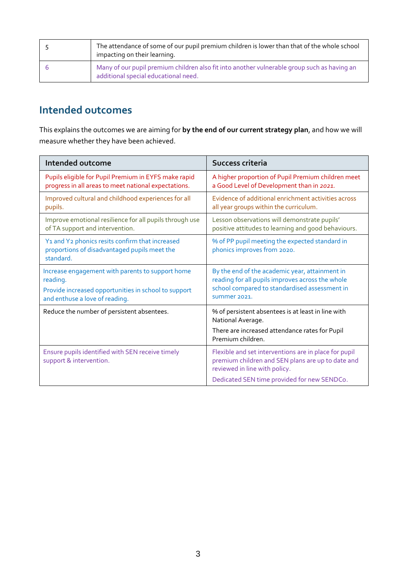| The attendance of some of our pupil premium children is lower than that of the whole school<br>impacting on their learning.         |
|-------------------------------------------------------------------------------------------------------------------------------------|
| Many of our pupil premium children also fit into another vulnerable group such as having an<br>additional special educational need. |

#### **Intended outcomes**

This explains the outcomes we are aiming for **by the end of our current strategy plan**, and how we will measure whether they have been achieved.

| Intended outcome                                                                                                                                       | Success criteria                                                                                                                                                    |
|--------------------------------------------------------------------------------------------------------------------------------------------------------|---------------------------------------------------------------------------------------------------------------------------------------------------------------------|
| Pupils eligible for Pupil Premium in EYFS make rapid<br>progress in all areas to meet national expectations.                                           | A higher proportion of Pupil Premium children meet<br>a Good Level of Development than in 2021.                                                                     |
| Improved cultural and childhood experiences for all<br>pupils.                                                                                         | Evidence of additional enrichment activities across<br>all year groups within the curriculum.                                                                       |
| Improve emotional resilience for all pupils through use<br>of TA support and intervention.                                                             | Lesson observations will demonstrate pupils'<br>positive attitudes to learning and good behaviours.                                                                 |
| Y1 and Y2 phonics resits confirm that increased<br>proportions of disadvantaged pupils meet the<br>standard.                                           | % of PP pupil meeting the expected standard in<br>phonics improves from 2020.                                                                                       |
| Increase engagement with parents to support home<br>reading.<br>Provide increased opportunities in school to support<br>and enthuse a love of reading. | By the end of the academic year, attainment in<br>reading for all pupils improves across the whole<br>school compared to standardised assessment in<br>summer 2021. |
| Reduce the number of persistent absentees.                                                                                                             | % of persistent absentees is at least in line with<br>National Average.<br>There are increased attendance rates for Pupil<br>Premium children.                      |
| Ensure pupils identified with SEN receive timely<br>support & intervention.                                                                            | Flexible and set interventions are in place for pupil<br>premium children and SEN plans are up to date and<br>reviewed in line with policy.                         |
|                                                                                                                                                        | Dedicated SEN time provided for new SENDCo.                                                                                                                         |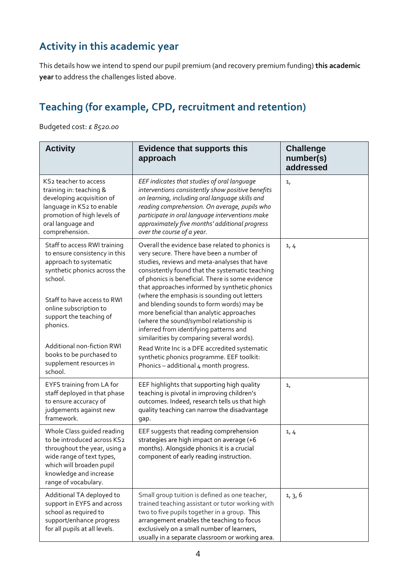## **Activity in this academic year**

This details how we intend to spend our pupil premium (and recovery premium funding) **this academic year** to address the challenges listed above.

### **Teaching (for example, CPD, recruitment and retention)**

Budgeted cost: £ *8520.00*

| <b>Activity</b>                                                                                                                                                                                                                                                                                                                    | <b>Evidence that supports this</b><br>approach                                                                                                                                                                                                                                                                                                                                                                                                                                                                                                                                                                                                                                                                        | <b>Challenge</b><br>number(s)<br>addressed |
|------------------------------------------------------------------------------------------------------------------------------------------------------------------------------------------------------------------------------------------------------------------------------------------------------------------------------------|-----------------------------------------------------------------------------------------------------------------------------------------------------------------------------------------------------------------------------------------------------------------------------------------------------------------------------------------------------------------------------------------------------------------------------------------------------------------------------------------------------------------------------------------------------------------------------------------------------------------------------------------------------------------------------------------------------------------------|--------------------------------------------|
| KS2 teacher to access<br>training in: teaching &<br>developing acquisition of<br>language in KS2 to enable<br>promotion of high levels of<br>oral language and<br>comprehension.                                                                                                                                                   | EEF indicates that studies of oral language<br>interventions consistently show positive benefits<br>on learning, including oral language skills and<br>reading comprehension. On average, pupils who<br>participate in oral language interventions make<br>approximately five months' additional progress<br>over the course of a year.                                                                                                                                                                                                                                                                                                                                                                               | 1 <sub>1</sub>                             |
| Staff to access RWI training<br>to ensure consistency in this<br>approach to systematic<br>synthetic phonics across the<br>school.<br>Staff to have access to RWI<br>online subscription to<br>support the teaching of<br>phonics.<br>Additional non-fiction RWI<br>books to be purchased to<br>supplement resources in<br>school. | Overall the evidence base related to phonics is<br>very secure. There have been a number of<br>studies, reviews and meta-analyses that have<br>consistently found that the systematic teaching<br>of phonics is beneficial. There is some evidence<br>that approaches informed by synthetic phonics<br>(where the emphasis is sounding out letters<br>and blending sounds to form words) may be<br>more beneficial than analytic approaches<br>(where the sound/symbol relationship is<br>inferred from identifying patterns and<br>similarities by comparing several words).<br>Read Write Inc is a DFE accredited systematic<br>synthetic phonics programme. EEF toolkit:<br>Phonics - additional 4 month progress. | 1, 4                                       |
| EYFS training from LA for<br>staff deployed in that phase<br>to ensure accuracy of<br>judgements against new<br>framework.                                                                                                                                                                                                         | EEF highlights that supporting high quality<br>teaching is pivotal in improving children's<br>outcomes. Indeed, research tells us that high<br>quality teaching can narrow the disadvantage<br>gap.                                                                                                                                                                                                                                                                                                                                                                                                                                                                                                                   | 1 <sub>1</sub>                             |
| Whole Class guided reading<br>to be introduced across KS2<br>throughout the year, using a<br>wide range of text types,<br>which will broaden pupil<br>knowledge and increase<br>range of vocabulary.                                                                                                                               | EEF suggests that reading comprehension<br>strategies are high impact on average (+6<br>months). Alongside phonics it is a crucial<br>component of early reading instruction.                                                                                                                                                                                                                                                                                                                                                                                                                                                                                                                                         | 1, 4                                       |
| Additional TA deployed to<br>support in EYFS and across<br>school as required to<br>support/enhance progress<br>for all pupils at all levels.                                                                                                                                                                                      | Small group tuition is defined as one teacher,<br>trained teaching assistant or tutor working with<br>two to five pupils together in a group. This<br>arrangement enables the teaching to focus<br>exclusively on a small number of learners,<br>usually in a separate classroom or working area.                                                                                                                                                                                                                                                                                                                                                                                                                     | 1, 3, 6                                    |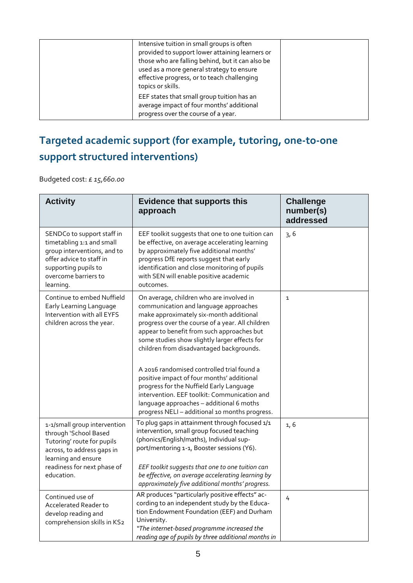| Intensive tuition in small groups is often<br>provided to support lower attaining learners or<br>those who are falling behind, but it can also be<br>used as a more general strategy to ensure<br>effective progress, or to teach challenging<br>topics or skills. |  |
|--------------------------------------------------------------------------------------------------------------------------------------------------------------------------------------------------------------------------------------------------------------------|--|
| EEF states that small group tuition has an<br>average impact of four months' additional<br>progress over the course of a year.                                                                                                                                     |  |

# **Targeted academic support (for example, tutoring, one-to-one support structured interventions)**

Budgeted cost: £ *15,660.00*

| <b>Activity</b>                                                                                                                                                                       | <b>Evidence that supports this</b><br>approach                                                                                                                                                                                                                                                                                                                                                                                                                      | <b>Challenge</b><br>number(s)<br>addressed |
|---------------------------------------------------------------------------------------------------------------------------------------------------------------------------------------|---------------------------------------------------------------------------------------------------------------------------------------------------------------------------------------------------------------------------------------------------------------------------------------------------------------------------------------------------------------------------------------------------------------------------------------------------------------------|--------------------------------------------|
| SENDCo to support staff in<br>timetabling 1:1 and small<br>group interventions, and to<br>offer advice to staff in<br>supporting pupils to<br>overcome barriers to<br>learning.       | EEF toolkit suggests that one to one tuition can<br>be effective, on average accelerating learning<br>by approximately five additional months'<br>progress DfE reports suggest that early<br>identification and close monitoring of pupils<br>with SEN will enable positive academic<br>outcomes.                                                                                                                                                                   | 3,6                                        |
| Continue to embed Nuffield<br>Early Learning Language<br>Intervention with all EYFS<br>children across the year.                                                                      | On average, children who are involved in<br>communication and language approaches<br>make approximately six-month additional<br>progress over the course of a year. All children<br>appear to benefit from such approaches but<br>some studies show slightly larger effects for<br>children from disadvantaged backgrounds.<br>A 2016 randomised controlled trial found a<br>positive impact of four months' additional<br>progress for the Nuffield Early Language | $\mathbf 1$                                |
|                                                                                                                                                                                       | intervention. EEF toolkit: Communication and<br>language approaches - additional 6 moths<br>progress NELI - additional 10 months progress.                                                                                                                                                                                                                                                                                                                          |                                            |
| 1-1/small group intervention<br>through 'School Based<br>Tutoring' route for pupils<br>across, to address gaps in<br>learning and ensure<br>readiness for next phase of<br>education. | To plug gaps in attainment through focused 1/1<br>intervention, small group focused teaching<br>(phonics/English/maths), Individual sup-<br>port/mentoring 1-1, Booster sessions (Y6).<br>EEF toolkit suggests that one to one tuition can<br>be effective, on average accelerating learning by                                                                                                                                                                     | 1, 6                                       |
|                                                                                                                                                                                       | approximately five additional months' progress.                                                                                                                                                                                                                                                                                                                                                                                                                     |                                            |
| Continued use of<br>Accelerated Reader to<br>develop reading and<br>comprehension skills in KS2                                                                                       | AR produces "particularly positive effects" ac-<br>cording to an independent study by the Educa-<br>tion Endowment Foundation (EEF) and Durham<br>University.<br>"The internet-based programme increased the<br>reading age of pupils by three additional months in                                                                                                                                                                                                 | 4                                          |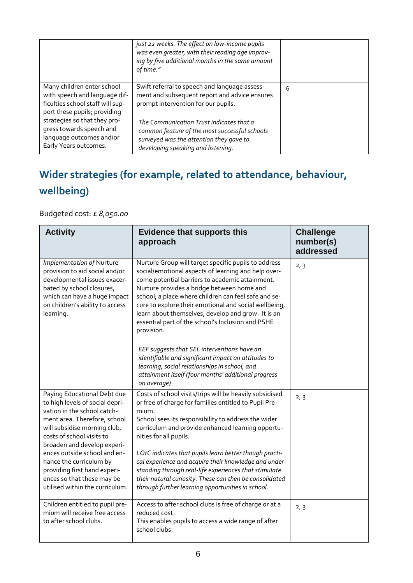|                                                                                                                                 | just 22 weeks. The effect on low-income pupils<br>was even greater, with their reading age improv-<br>ing by five additional months in the same amount<br>of time."        |   |
|---------------------------------------------------------------------------------------------------------------------------------|----------------------------------------------------------------------------------------------------------------------------------------------------------------------------|---|
| Many children enter school<br>with speech and language dif-<br>ficulties school staff will sup-<br>port these pupils; providing | Swift referral to speech and language assess-<br>ment and subsequent report and advice ensures<br>prompt intervention for our pupils.                                      | 6 |
| strategies so that they pro-<br>gress towards speech and<br>language outcomes and/or<br>Early Years outcomes.                   | The Communication Trust indicates that a<br>common feature of the most successful schools<br>surveyed was the attention they gave to<br>developing speaking and listening. |   |

# **Wider strategies (for example, related to attendance, behaviour, wellbeing)**

Budgeted cost: £ *8,050.00*

| <b>Activity</b>                                                                                                                                                                                                                                                                                                                                                                       | <b>Evidence that supports this</b><br>approach                                                                                                                                                                                                                                                                                                                                                                                                                                                                                                              | <b>Challenge</b><br>number(s)<br>addressed |
|---------------------------------------------------------------------------------------------------------------------------------------------------------------------------------------------------------------------------------------------------------------------------------------------------------------------------------------------------------------------------------------|-------------------------------------------------------------------------------------------------------------------------------------------------------------------------------------------------------------------------------------------------------------------------------------------------------------------------------------------------------------------------------------------------------------------------------------------------------------------------------------------------------------------------------------------------------------|--------------------------------------------|
| Implementation of Nurture<br>provision to aid social and/or<br>developmental issues exacer-<br>bated by school closures,<br>which can have a huge impact<br>on children's ability to access<br>learning.                                                                                                                                                                              | Nurture Group will target specific pupils to address<br>social/emotional aspects of learning and help over-<br>come potential barriers to academic attainment.<br>Nurture provides a bridge between home and<br>school; a place where children can feel safe and se-<br>cure to explore their emotional and social wellbeing,<br>learn about themselves, develop and grow. It is an<br>essential part of the school's Inclusion and PSHE<br>provision.                                                                                                      | 2, 3                                       |
|                                                                                                                                                                                                                                                                                                                                                                                       | EEF suggests that SEL interventions have an<br>identifiable and significant impact on attitudes to<br>learning, social relationships in school, and<br>attainment itself (four months' additional progress<br>on average)                                                                                                                                                                                                                                                                                                                                   |                                            |
| Paying Educational Debt due<br>to high levels of social depri-<br>vation in the school catch-<br>ment area. Therefore, school<br>will subsidise morning club,<br>costs of school visits to<br>broaden and develop experi-<br>ences outside school and en-<br>hance the curriculum by<br>providing first hand experi-<br>ences so that these may be<br>utilised within the curriculum. | Costs of school visits/trips will be heavily subsidised<br>or free of charge for families entitled to Pupil Pre-<br>mium.<br>School sees its responsibility to address the wider<br>curriculum and provide enhanced learning opportu-<br>nities for all pupils.<br>LOtC indicates that pupils learn better though practi-<br>cal experience and acquire their knowledge and under-<br>standing through real-life experiences that stimulate<br>their natural curiosity. These can then be consolidated<br>through further learning opportunities in school. | 2, 3                                       |
| Children entitled to pupil pre-<br>mium will receive free access<br>to after school clubs.                                                                                                                                                                                                                                                                                            | Access to after school clubs is free of charge or at a<br>reduced cost.<br>This enables pupils to access a wide range of after<br>school clubs.                                                                                                                                                                                                                                                                                                                                                                                                             | 2, 3                                       |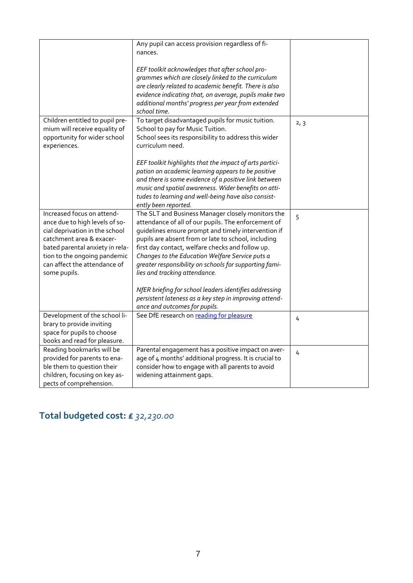|                                                                                                                                                                                                                                               | Any pupil can access provision regardless of fi-<br>nances.                                                                                                                                                                                                                                                                                                                                                              |      |
|-----------------------------------------------------------------------------------------------------------------------------------------------------------------------------------------------------------------------------------------------|--------------------------------------------------------------------------------------------------------------------------------------------------------------------------------------------------------------------------------------------------------------------------------------------------------------------------------------------------------------------------------------------------------------------------|------|
|                                                                                                                                                                                                                                               | EEF toolkit acknowledges that after school pro-<br>grammes which are closely linked to the curriculum<br>are clearly related to academic benefit. There is also<br>evidence indicating that, on average, pupils make two<br>additional months' progress per year from extended<br>school time.                                                                                                                           |      |
| Children entitled to pupil pre-<br>mium will receive equality of<br>opportunity for wider school<br>experiences.                                                                                                                              | To target disadvantaged pupils for music tuition.<br>School to pay for Music Tuition.<br>School sees its responsibility to address this wider<br>curriculum need.                                                                                                                                                                                                                                                        | 2, 3 |
|                                                                                                                                                                                                                                               | EEF toolkit highlights that the impact of arts partici-<br>pation on academic learning appears to be positive<br>and there is some evidence of a positive link between<br>music and spatial awareness. Wider benefits on atti-<br>tudes to learning and well-being have also consist-<br>ently been reported.                                                                                                            |      |
| Increased focus on attend-<br>ance due to high levels of so-<br>cial deprivation in the school<br>catchment area & exacer-<br>bated parental anxiety in rela-<br>tion to the ongoing pandemic<br>can affect the attendance of<br>some pupils. | The SLT and Business Manager closely monitors the<br>attendance of all of our pupils. The enforcement of<br>guidelines ensure prompt and timely intervention if<br>pupils are absent from or late to school, including<br>first day contact, welfare checks and follow up.<br>Changes to the Education Welfare Service puts a<br>greater responsibility on schools for supporting fami-<br>lies and tracking attendance. | 5    |
|                                                                                                                                                                                                                                               | NfER briefing for school leaders identifies addressing<br>persistent lateness as a key step in improving attend-<br>ance and outcomes for pupils.                                                                                                                                                                                                                                                                        |      |
| Development of the school li-<br>brary to provide inviting<br>space for pupils to choose<br>books and read for pleasure.                                                                                                                      | See DfE research on reading for pleasure                                                                                                                                                                                                                                                                                                                                                                                 | 4    |
| Reading bookmarks will be<br>provided for parents to ena-<br>ble them to question their<br>children, focusing on key as-<br>pects of comprehension.                                                                                           | Parental engagement has a positive impact on aver-<br>age of 4 months' additional progress. It is crucial to<br>consider how to engage with all parents to avoid<br>widening attainment gaps.                                                                                                                                                                                                                            | 4    |

# **Total budgeted cost: £** *32,230.00*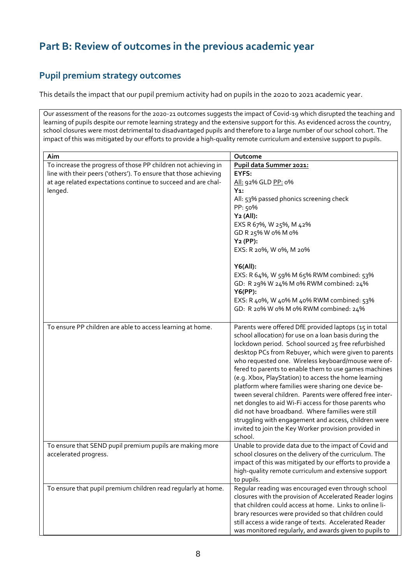## **Part B: Review of outcomes in the previous academic year**

#### **Pupil premium strategy outcomes**

This details the impact that our pupil premium activity had on pupils in the 2020 to 2021 academic year.

Our assessment of the reasons for the 2020-21 outcomes suggests the impact of Covid-19 which disrupted the teaching and learning of pupils despite our remote learning strategy and the extensive support for this. As evidenced across the country, school closures were most detrimental to disadvantaged pupils and therefore to a large number of our school cohort. The impact of this was mitigated by our efforts to provide a high-quality remote curriculum and extensive support to pupils.

| Aim                                                                                                                                                                                                            | Outcome                                                                                                                                                                                                                                                                                                                                                                                                                                                                                                                                                                                                                                                                                                                                                             |
|----------------------------------------------------------------------------------------------------------------------------------------------------------------------------------------------------------------|---------------------------------------------------------------------------------------------------------------------------------------------------------------------------------------------------------------------------------------------------------------------------------------------------------------------------------------------------------------------------------------------------------------------------------------------------------------------------------------------------------------------------------------------------------------------------------------------------------------------------------------------------------------------------------------------------------------------------------------------------------------------|
| To increase the progress of those PP children not achieving in<br>line with their peers ('others'). To ensure that those achieving<br>at age related expectations continue to succeed and are chal-<br>lenged. | Pupil data Summer 2021:<br>EYFS:<br>All: 92% GLD PP: 0%<br>$Y_1$ :<br>All: 53% passed phonics screening check<br>PP: 50%<br>Y <sub>2</sub> (All):<br>EXS R 67%, W 25%, M 42%<br>GD R 25% W o% M o%<br>$Y2$ (PP):<br>EXS: R 20%, W 0%, M 20%<br>Y6(All):<br>EXS: R 64%, W 59% M 65% RWM combined: 53%<br>GD: R 29% W 24% M 0% RWM combined: 24%<br>$Y6(PP)$ :<br>EXS: R 40%, W 40% M 40% RWM combined: 53%<br>GD: R 20% W 0% M 0% RWM combined: 24%                                                                                                                                                                                                                                                                                                                  |
| To ensure PP children are able to access learning at home.                                                                                                                                                     | Parents were offered DfE provided laptops (15 in total<br>school allocation) for use on a loan basis during the<br>lockdown period. School sourced 25 free refurbished<br>desktop PCs from Rebuyer, which were given to parents<br>who requested one. Wireless keyboard/mouse were of-<br>fered to parents to enable them to use games machines<br>(e.g. Xbox, PlayStation) to access the home learning<br>platform where families were sharing one device be-<br>tween several children. Parents were offered free inter-<br>net dongles to aid Wi-Fi access for those parents who<br>did not have broadband. Where families were still<br>struggling with engagement and access, children were<br>invited to join the Key Worker provision provided in<br>school. |
| To ensure that SEND pupil premium pupils are making more<br>accelerated progress.                                                                                                                              | Unable to provide data due to the impact of Covid and<br>school closures on the delivery of the curriculum. The<br>impact of this was mitigated by our efforts to provide a<br>high-quality remote curriculum and extensive support<br>to pupils.                                                                                                                                                                                                                                                                                                                                                                                                                                                                                                                   |
| To ensure that pupil premium children read regularly at home.                                                                                                                                                  | Regular reading was encouraged even through school<br>closures with the provision of Accelerated Reader logins<br>that children could access at home. Links to online li-<br>brary resources were provided so that children could<br>still access a wide range of texts. Accelerated Reader<br>was monitored regularly, and awards given to pupils to                                                                                                                                                                                                                                                                                                                                                                                                               |